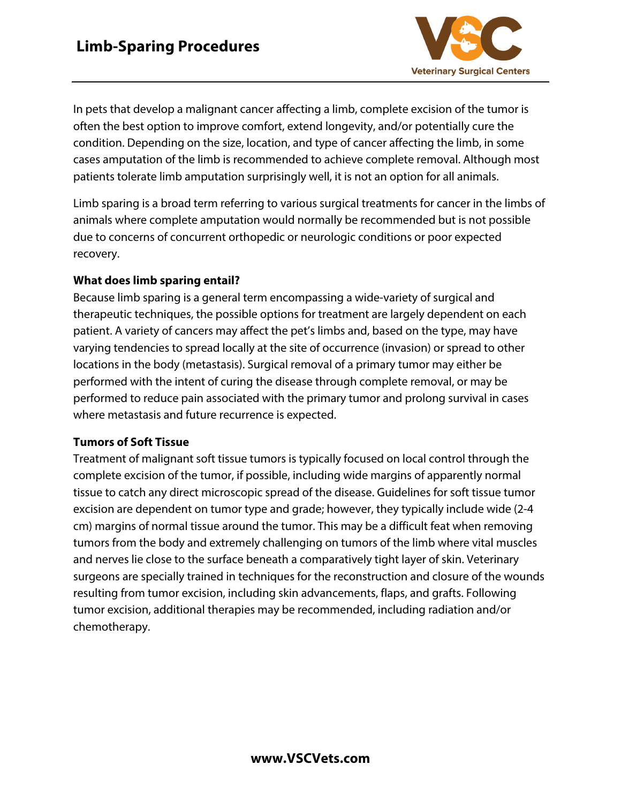

In pets that develop a malignant cancer affecting a limb, complete excision of the tumor is often the best option to improve comfort, extend longevity, and/or potentially cure the condition. Depending on the size, location, and type of cancer affecting the limb, in some cases amputation of the limb is recommended to achieve complete removal. Although most patients tolerate limb amputation surprisingly well, it is not an option for all animals.

Limb sparing is a broad term referring to various surgical treatments for cancer in the limbs of animals where complete amputation would normally be recommended but is not possible due to concerns of concurrent orthopedic or neurologic conditions or poor expected recovery.

## **What does limb sparing entail?**

Because limb sparing is a general term encompassing a wide-variety of surgical and therapeutic techniques, the possible options for treatment are largely dependent on each patient. A variety of cancers may affect the pet's limbs and, based on the type, may have varying tendencies to spread locally at the site of occurrence (invasion) or spread to other locations in the body (metastasis). Surgical removal of a primary tumor may either be performed with the intent of curing the disease through complete removal, or may be performed to reduce pain associated with the primary tumor and prolong survival in cases where metastasis and future recurrence is expected.

## **Tumors of Soft Tissue**

Treatment of malignant soft tissue tumors is typically focused on local control through the complete excision of the tumor, if possible, including wide margins of apparently normal tissue to catch any direct microscopic spread of the disease. Guidelines for soft tissue tumor excision are dependent on tumor type and grade; however, they typically include wide (2-4 cm) margins of normal tissue around the tumor. This may be a difficult feat when removing tumors from the body and extremely challenging on tumors of the limb where vital muscles and nerves lie close to the surface beneath a comparatively tight layer of skin. Veterinary surgeons are specially trained in techniques for the reconstruction and closure of the wounds resulting from tumor excision, including skin advancements, flaps, and grafts. Following tumor excision, additional therapies may be recommended, including radiation and/or chemotherapy.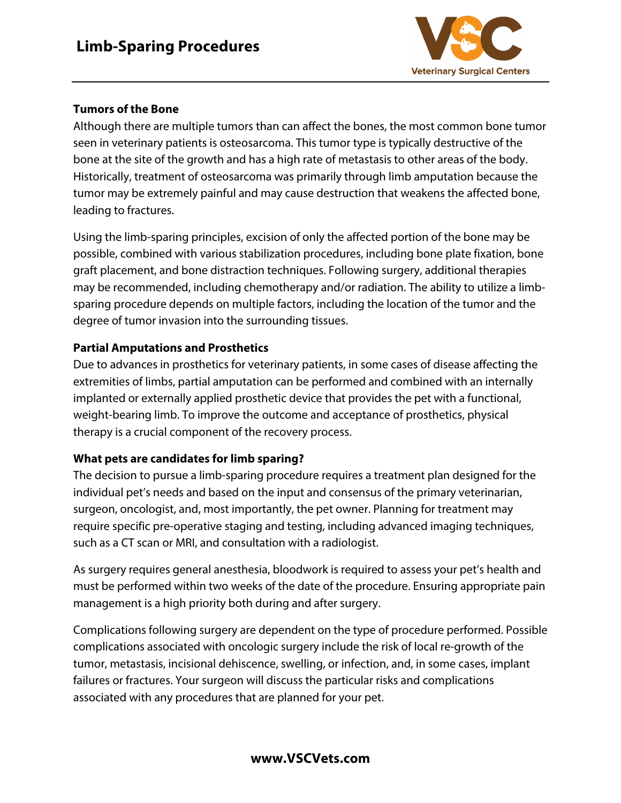

## **Tumors of the Bone**

Although there are multiple tumors than can affect the bones, the most common bone tumor seen in veterinary patients is osteosarcoma. This tumor type is typically destructive of the bone at the site of the growth and has a high rate of metastasis to other areas of the body. Historically, treatment of osteosarcoma was primarily through limb amputation because the tumor may be extremely painful and may cause destruction that weakens the affected bone, leading to fractures.

Using the limb-sparing principles, excision of only the affected portion of the bone may be possible, combined with various stabilization procedures, including bone plate fixation, bone graft placement, and bone distraction techniques. Following surgery, additional therapies may be recommended, including chemotherapy and/or radiation. The ability to utilize a limbsparing procedure depends on multiple factors, including the location of the tumor and the degree of tumor invasion into the surrounding tissues.

# **Partial Amputations and Prosthetics**

Due to advances in prosthetics for veterinary patients, in some cases of disease affecting the extremities of limbs, partial amputation can be performed and combined with an internally implanted or externally applied prosthetic device that provides the pet with a functional, weight-bearing limb. To improve the outcome and acceptance of prosthetics, physical therapy is a crucial component of the recovery process.

## **What pets are candidates for limb sparing?**

The decision to pursue a limb-sparing procedure requires a treatment plan designed for the individual pet's needs and based on the input and consensus of the primary veterinarian, surgeon, oncologist, and, most importantly, the pet owner. Planning for treatment may require specific pre-operative staging and testing, including advanced imaging techniques, such as a CT scan or MRI, and consultation with a radiologist.

As surgery requires general anesthesia, bloodwork is required to assess your pet's health and must be performed within two weeks of the date of the procedure. Ensuring appropriate pain management is a high priority both during and after surgery.

Complications following surgery are dependent on the type of procedure performed. Possible complications associated with oncologic surgery include the risk of local re-growth of the tumor, metastasis, incisional dehiscence, swelling, or infection, and, in some cases, implant failures or fractures. Your surgeon will discuss the particular risks and complications associated with any procedures that are planned for your pet.

## **www.VSCVets.com**